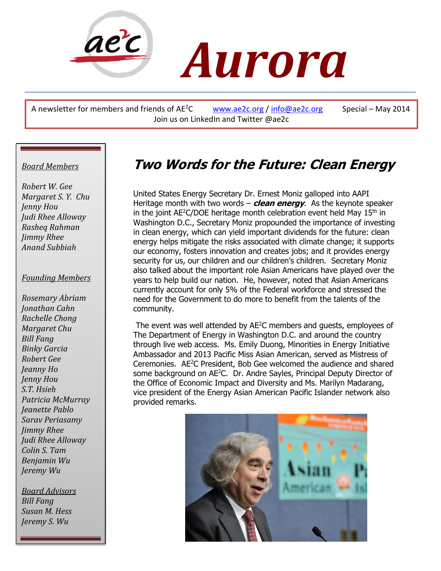

A newsletter for members and friends of  $AE^2C$  [www.ae2c.org](http://www.ae2c.org/) / [info@ae2c.org](mailto:info@ae2c.org) Special – May 2014 Join us on LinkedIn and Twitter @ae2c

#### *Board Members*

*Robert W. Gee Margaret S. Y. Chu Jenny Hou Judi Rhee Alloway Rasheq Rahman Jimmy Rhee Anand Subbiah*

#### *Founding Members*

*Rosemary Abriam Jonathan Cahn Rachelle Chong Margaret Chu Bill Fang Binky Garcia Robert Gee Jeanny Ho Jenny Hou S.T. Hsieh Patricia McMurray Jeanette Pablo Sarav Periasamy Jimmy Rhee Judi Rhee Alloway Colin S. Tam Benjamin Wu Jeremy Wu*

 *Bill Fang Board Advisors Susan M. Hess Jeremy S. Wu*

# **Two Words for the Future: Clean Energy**

United States Energy Secretary Dr. Ernest Moniz galloped into AAPI Heritage month with two words – **clean energy**. As the keynote speaker in the joint  $AE^2C/DOE$  heritage month celebration event held May  $15<sup>th</sup>$  in Washington D.C., Secretary Moniz propounded the importance of investing in clean energy, which can yield important dividends for the future: clean energy helps mitigate the risks associated with climate change; it supports our economy, fosters innovation and creates jobs; and it provides energy security for us, our children and our children's children. Secretary Moniz also talked about the important role Asian Americans have played over the years to help build our nation. He, however, noted that Asian Americans currently account for only 5% of the Federal workforce and stressed the need for the Government to do more to benefit from the talents of the community.

The event was well attended by AE<sup>2</sup>C members and quests, employees of The Department of Energy in Washington D.C. and around the country through live web access. Ms. Emily Duong, Minorities in Energy Initiative Ambassador and 2013 Pacific Miss Asian American, served as Mistress of Ceremonies. AE<sup>2</sup>C President, Bob Gee welcomed the audience and shared some background on AE<sup>2</sup>C. Dr. Andre Sayles, Principal Deputy Director of the Office of Economic Impact and Diversity and Ms. Marilyn Madarang, vice president of the Energy Asian American Pacific Islander network also provided remarks.